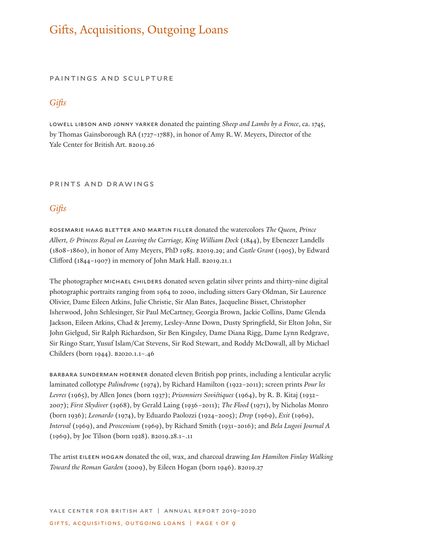# Gifts, Acquisitions, Outgoing Loans

#### paintings and sculpture

# *Gifts*

lowell libson and jonny yarker donated the painting *Sheep and Lambs by a Fence*, ca. 1745, by Thomas Gainsborough RA (1727–1788), in honor of Amy R.W. Meyers, Director of the Yale Center for British Art. B2019.26

### prints and drawings

# *Gifts*

rosemarie haag bletter and martin filler donated the watercolors *The Queen, Prince Albert, & Princess Royal on Leaving the Carriage, King William Dock* (1844), by Ebenezer Landells (1808–1860), in honor of Amy Meyers, PhD 1985. b2019.29; and *Castle Grant* (1905), by Edward Clifford (1844–1907) in memory of John Mark Hall. b2019.21.1

The photographer michael childers donated seven gelatin silver prints and thirty-nine digital photographic portraits ranging from 1964 to 2000, including sitters Gary Oldman, Sir Laurence Olivier, Dame Eileen Atkins, Julie Christie, Sir Alan Bates, Jacqueline Bisset, Christopher Isherwood, John Schlesinger, Sir Paul McCartney, Georgia Brown, Jackie Collins, Dame Glenda Jackson, Eileen Atkins, Chad & Jeremy, Lesley-Anne Down, Dusty Springfield, Sir Elton John, Sir John Gielgud, Sir Ralph Richardson, Sir Ben Kingsley, Dame Diana Rigg, Dame Lynn Redgrave, Sir Ringo Starr, Yusuf Islam/Cat Stevens, Sir Rod Stewart, and Roddy McDowall, all by Michael Childers (born 1944). b2020.1.1–.46

barbara sunderman hoerner donated eleven British pop prints, including a lenticular acrylic laminated collotype *Palindrome* (1974), by Richard Hamilton (1922–2011); screen prints *Pour les Levres* (1965), by Allen Jones (born 1937); *Prisonniers Soviétiques* (1964), by R. B. Kitaj (1932– 2007); *First Skydiver* (1968), by Gerald Laing (1936–2011); *The Flood* (1971), by Nicholas Monro (born 1936); *Leonardo* (1974), by Eduardo Paolozzi (1924–2005); *Drop* (1969), *Exit* (1969), *Interval* (1969), and *Proscenium* (1969), by Richard Smith (1931–2016); and *Bela Lugosi Journal A* (1969), by Joe Tilson (born 1928). b2019.28.1–.11

The artist eileen hogan donated the oil, wax, and charcoal drawing *Ian Hamilton Finlay Walking Toward the Roman Garden* (2009), by Eileen Hogan (born 1946). b2019.27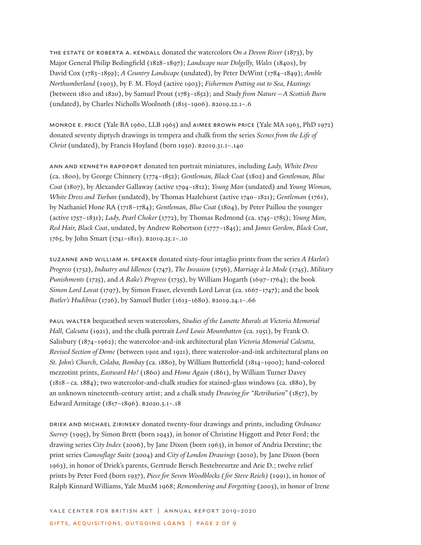the estate of roberta a. kendall donated the watercolors *On a Devon River* (1873), by Major General Philip Bedingfield (1828–1897); *Landscape near Dolgelly, Wales* (1840s), by David Cox (1783–1859); *A Country Landscape* (undated), by Peter DeWint (1784–1849); *Amble Northumberland* (1903), by F. M. Floyd (active 1903); *Fishermen Putting out to Sea, Hastings* (between 1810 and 1820), by Samuel Prout (1783–1852); and *Study from Nature—A Scottish Burn* (undated), by Charles Nicholls Woolnoth (1815–1906). b2019.22.1–.6

monroe e. price (Yale BA 1960, LLB 1965) and aimee brown price (Yale MA 1963, PhD 1972) donated seventy diptych drawings in tempera and chalk from the series *Scenes from the Life of Christ* (undated), by Francis Hoyland (born 1930). b2019.31.1–.140

ann and kenneth rapoport donated ten portrait miniatures, including *Lady, White Dress* (ca. 1800), by George Chinnery (1774–1852); *Gentleman, Black Coat* (1802) and *Gentleman, Blue Coat* (1807), by Alexander Gallaway (active 1794–1812); *Young Man* (undated) and *Young Woman, White Dress and Turban* (undated), by Thomas Hazlehurst (active 1740–1821); *Gentleman* (1761), by Nathaniel Hone RA (1718–1784); *Gentleman, Blue Coat* (1804), by Peter Paillou the younger (active 1757–1831); *Lady, Pearl Choker* (1772), by Thomas Redmond (ca. 1745–1785); *Young Man, Red Hair, Black Coat*, undated, by Andrew Robertson (1777–1845); and *James Gordon, Black Coat*, 1765, by John Smart (1741–1811). b2019.25.1–.10

suzanne and william h. speaker donated sixty-four intaglio prints from the series *A Harlot's Progress* (1732), *Industry and Idleness* (1747), *The Invasion* (1756), *Marriage à la Mode* (1745), *Military Punishments* (1725), and *A Rake's Progress* (1735), by William Hogarth (1697–1764); the book *Simon Lord Lovat* (1797), by Simon Fraser, eleventh Lord Lovat (ca. 1667–1747); and the book *Butler's Hudibras* (1726), by Samuel Butler (1613–1680). b2019.24.1–.66

paul walter bequeathed seven watercolors, *Studies of the Lunette Murals at Victoria Memorial Hall, Calcutta* (1921), and the chalk portrait *Lord Louis Mountbatten* (ca. 1951), by Frank O. Salisbury (1874–1962); the watercolor-and-ink architectural plan *Victoria Memorial Calcutta, Revised Section of Dome* (between 1902 and 1921), three watercolor-and-ink architectural plans on *St. John's Church, Colaba, Bombay* (ca. 1880), by William Butterfield (1814–1900); hand-colored mezzotint prints, *Eastward Ho!* (1860) and *Home Again* (1861), by William Turner Davey (1818–ca. 1884); two watercolor-and-chalk studies for stained-glass windows (ca. 1880), by an unknown nineteenth-century artist; and a chalk study *Drawing for "Retribution"* (1857), by Edward Armitage (1817–1896). b2020.3.1–.18

driek and michael zirinsky donated twenty-four drawings and prints, including *Ordnance Survey* (1995), by Simon Brett (born 1943), in honor of Christine Higgott and Peter Ford; the drawing series *City Index* (2006), by Jane Dixon (born 1963), in honor of Andria Derstine; the print series *Camouflage Suite* (2004) and *City of London Drawings* (2010), by Jane Dixon (born 1963), in honor of Driek's parents, Gertrude Bersch Bestebreurtze and Arie D.; twelve relief prints by Peter Ford (born 1937), *Piece for Seven Woodblocks (for Steve Reich)* (1991), in honor of Ralph Kinnard Williams, Yale MusM 1968; *Remembering and Forgetting* (2003), in honor of Irene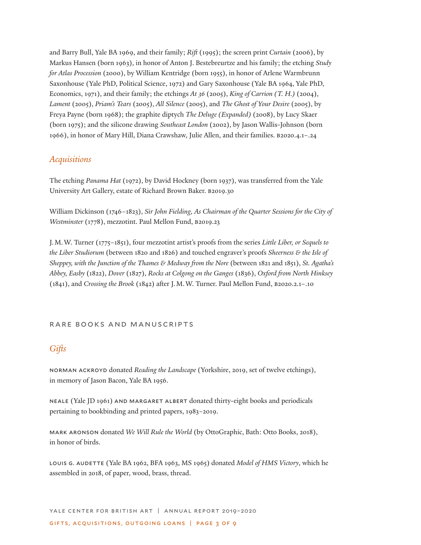and Barry Bull, Yale BA 1969, and their family; *Rift* (1995); the screen print *Curtain* (2006), by Markus Hansen (born 1963), in honor of Anton J. Bestebreurtze and his family; the etching *Study for Atlas Procession* (2000), by William Kentridge (born 1955), in honor of Arlene Warmbrunn Saxonhouse (Yale PhD, Political Science, 1972) and Gary Saxonhouse (Yale BA 1964, Yale PhD, Economics, 1971), and their family; the etchings *At 36* (2005), *King of Carrion (T. H.)* (2004), *Lament* (2005), *Priam's Tears* (2005), *All Silence* (2005), and *The Ghost of Your Desire* (2005), by Freya Payne (born 1968); the graphite diptych *The Deluge (Expanded)* (2008), by Lucy Skaer (born 1975); and the silicone drawing *Southeast London* (2002), by Jason Wallis-Johnson (born 1966), in honor of Mary Hill, Diana Crawshaw, Julie Allen, and their families. b2020.4.1–.24

# *Acquisitions*

The etching *Panama Hat* (1972), by David Hockney (born 1937), was transferred from the Yale University Art Gallery, estate of Richard Brown Baker. b2019.30

William Dickinson (1746–1823), *Sir John Fielding, As Chairman of the Quarter Sessions for the City of Westminster* (1778), mezzotint. Paul Mellon Fund, B2019.23

J.M.W. Turner (1775–1851), four mezzotint artist's proofs from the series *Little Liber, or Sequels to the Liber Studiorum* (between 1820 and 1826) and touched engraver's proofs *Sheerness & the Isle of Sheppey, with the Junction of the Thames & Medway from the Nore* (between 1821 and 1851), *St. Agatha's Abbey, Easby* (1822), *Dover* (1827), *Rocks at Colgong on the Ganges* (1836), *Oxford from North Hinksey* (1841), and *Crossing the Brook* (1842) after J.M.W. Turner. Paul Mellon Fund, b2020.2.1–.10

### RARE BOOKS AND MANUSCRIPTS

# *Gifts*

norman ackroyd donated *Reading the Landscape* (Yorkshire, 2019, set of twelve etchings), in memory of Jason Bacon, Yale BA 1956.

neale (Yale JD 1961) and margaret albert donated thirty-eight books and periodicals pertaining to bookbinding and printed papers, 1983–2019.

mark aronson donated *We Will Rule the World* (by OttoGraphic, Bath: Otto Books, 2018), in honor of birds.

louis g. audette (Yale BA 1962, BFA 1963, MS 1965) donated *Model of HMS Victory*, which he assembled in 2018, of paper, wood, brass, thread.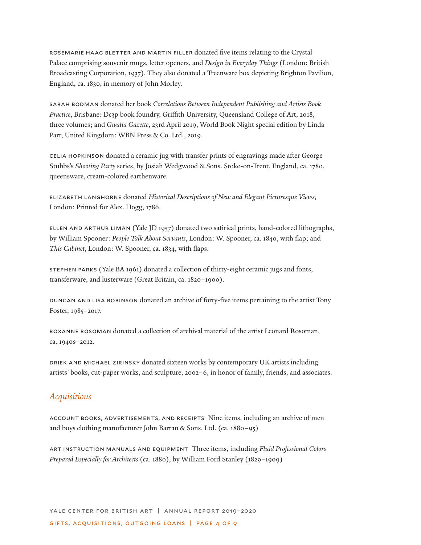rosemarie haag bletter and martin filler donated five items relating to the Crystal Palace comprising souvenir mugs, letter openers, and *Design in Everyday Things* (London: British Broadcasting Corporation, 1937). They also donated a Treenware box depicting Brighton Pavilion, England, ca. 1830, in memory of John Morley.

sarah bodman donated her book *Correlations Between Independent Publishing and Artists Book Practice*, Brisbane: Dc3p book foundry, Griffith University, Queensland College of Art, 2018, three volumes; and *Gwalia Gazette*, 23rd April 2019, World Book Night special edition by Linda Parr, United Kingdom: WBN Press & Co. Ltd., 2019.

celia hopkinson donated a ceramic jug with transfer prints of engravings made after George Stubbs's *Shooting Party* series, by Josiah Wedgwood & Sons. Stoke-on-Trent, England, ca. 1780, queensware, cream-colored earthenware.

elizabeth langhorne donated *Historical Descriptions of New and Elegant Picturesque Views*, London: Printed for Alex. Hogg, 1786.

ellen and arthur liman (Yale JD 1957) donated two satirical prints, hand-colored lithographs, by William Spooner: *People Talk About Servants*, London: W. Spooner, ca. 1840, with flap; and *This Cabinet*, London: W. Spooner, ca. 1834, with flaps.

stephen parks (Yale BA 1961) donated a collection of thirty-eight ceramic jugs and fonts, transferware, and lusterware (Great Britain, ca. 1820–1900).

duncan and lisa robinson donated an archive of forty-five items pertaining to the artist Tony Foster, 1985–2017.

roxanne rosoman donated a collection of archival material of the artist Leonard Rosoman, ca. 1940s–2012.

driek and michael zirinsky donated sixteen works by contemporary UK artists including artists' books, cut-paper works, and sculpture, 2002–6, in honor of family, friends, and associates.

# *Acquisitions*

account books, advertisements, and receipts Nine items, including an archive of men and boys clothing manufacturer John Barran & Sons, Ltd. (ca. 1880–95)

art instruction manuals and equipment Three items, including *Fluid Professional Colors Prepared Especially for Architects* (ca. 1880), by William Ford Stanley (1829–1909)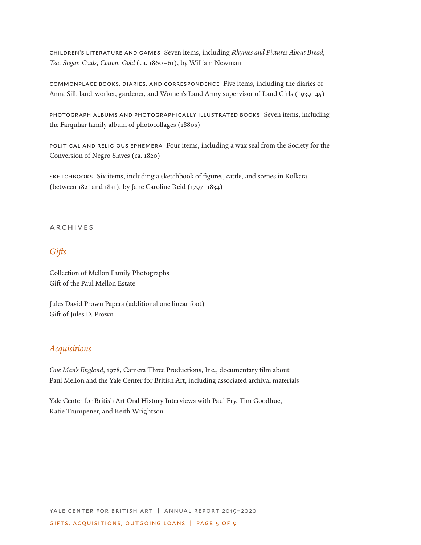children's literature and games Seven items, including *Rhymes and Pictures About Bread, Tea, Sugar, Coals, Cotton, Gold* (ca. 1860–61), by William Newman

commonplace books, diaries, and correspondence Five items, including the diaries of Anna Sill, land-worker, gardener, and Women's Land Army supervisor of Land Girls (1939–45)

photograph albums and photographically illustrated books Seven items, including the Farquhar family album of photocollages (1880s)

political and religious ephemera Four items, including a wax seal from the Society for the Conversion of Negro Slaves (ca. 1820)

sketchbooks Six items, including a sketchbook of figures, cattle, and scenes in Kolkata (between 1821 and 1831), by Jane Caroline Reid (1797–1834)

### **ARCHIVES**

# *Gifts*

Collection of Mellon Family Photographs Gift of the Paul Mellon Estate

Jules David Prown Papers (additional one linear foot) Gift of Jules D. Prown

# *Acquisitions*

*One Man's England*, 1978, Camera Three Productions, Inc., documentary film about Paul Mellon and the Yale Center for British Art, including associated archival materials

Yale Center for British Art Oral History Interviews with Paul Fry, Tim Goodhue, Katie Trumpener, and Keith Wrightson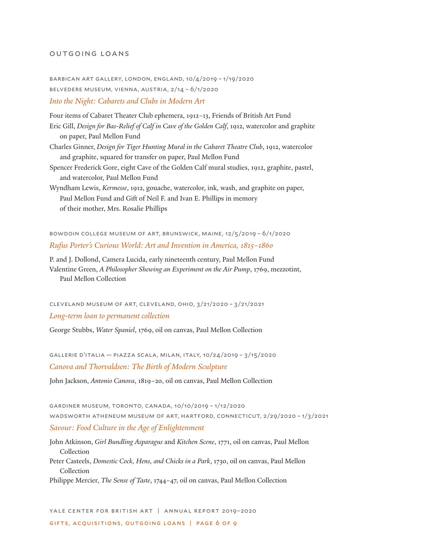#### outgoing loans

barbican art gallery, london, england, 10/4/2019 – 1/19/2020 belvedere museum, vienna, austria, 2/14 – 6/1/2020 *Into the Night: Cabarets and Clubs in Modern Art*

Four items of Cabaret Theater Club ephemera, 1912–13, Friends of British Art Fund Eric Gill, *Design for Bas-Relief of Calf in Cave of the Golden Calf*, 1912, watercolor and graphite on paper, Paul Mellon Fund

Charles Ginner, *Design for Tiger Hunting Mural in the Cabaret Theatre Club*, 1912, watercolor and graphite, squared for transfer on paper, Paul Mellon Fund

Spencer Frederick Gore, eight Cave of the Golden Calf mural studies, 1912, graphite, pastel, and watercolor, Paul Mellon Fund

Wyndham Lewis, *Kermesse*, 1912, gouache, watercolor, ink, wash, and graphite on paper, Paul Mellon Fund and Gift of Neil F. and Ivan E. Phillips in memory of their mother, Mrs. Rosalie Phillips

bowdoin college museum of art, brunswick, maine, 12/5/2019 – 6/1/2020 *Rufus Porter's Curious World: Art and Invention in America, 1815–1860*

P. and J. Dollond, Camera Lucida, early nineteenth century, Paul Mellon Fund Valentine Green, *A Philosopher Shewing an Experiment on the Air Pump*, 1769, mezzotint, Paul Mellon Collection

cleveland museum of art, cleveland, ohio, 3/21/2020 – 3/21/2021 *Long-term loan to permanent collection*

George Stubbs, *Water Spaniel*, 1769, oil on canvas, Paul Mellon Collection

gallerie d'italia — piazza scala, milan, italy, 10/24/2019 – 3/15/2020 *Canova and Thorvaldsen: The Birth of Modern Sculpture*

John Jackson, *Antonio Canova*, 1819–20, oil on canvas, Paul Mellon Collection

gardiner museum, toronto, canada, 10/10/2019 – 1/12/2020 wadsworth atheneum museum of art, hartford, connecticut, 2/29/2020 – 1/3/2021 *Savour: Food Culture in the Age of Enlightenment*

John Atkinson, *Girl Bundling Asparagus* and *Kitchen Scene*, 1771, oil on canvas, Paul Mellon Collection Peter Casteels, *Domestic Cock, Hens, and Chicks in a Park*, 1730, oil on canvas, Paul Mellon Collection

Philippe Mercier, *The Sense of Taste*, 1744–47, oil on canvas, Paul Mellon Collection

yale center for british art | annual report 2019–2020

gifts, acquisitions, outgoing loans | page 6 of 9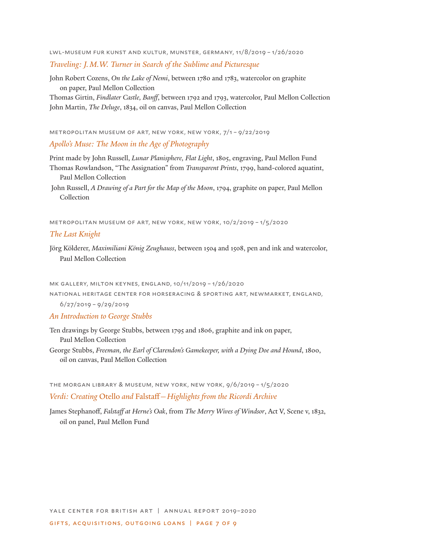lwl-museum fur kunst and kultur, munster, germany, 11/8/2019 – 1/26/2020

#### *Traveling: J.M.W. Turner in Search of the Sublime and Picturesque*

John Robert Cozens, *On the Lake of Nemi*, between 1780 and 1783, watercolor on graphite on paper, Paul Mellon Collection

Thomas Girtin, *Findlater Castle, Banff*, between 1792 and 1793, watercolor, Paul Mellon Collection John Martin, *The Deluge*, 1834, oil on canvas, Paul Mellon Collection

metropolitan museum of art, new york, new york, 7/1 – 9/22/2019

### *Apollo's Muse: The Moon in the Age of Photography*

Print made by John Russell, *Lunar Planisphere, Flat Light*, 1805, engraving, Paul Mellon Fund Thomas Rowlandson, "The Assignation" from *Transparent Prints*, 1799, hand-colored aquatint,

Paul Mellon Collection

 John Russell, *A Drawing of a Part for the Map of the Moon*, 1794, graphite on paper, Paul Mellon Collection

metropolitan museum of art, new york, new york, 10/2/2019 – 1/5/2020

### *The Last Knight*

Jörg Kölderer, *Maximiliani König Zeughauss*, between 1504 and 1508, pen and ink and watercolor, Paul Mellon Collection

mk gallery, milton keynes, england, 10/11/2019 – 1/26/2020

national heritage center for horseracing & sporting art, newmarket, england,

6/27/2019 – 9/29/2019

### *An Introduction to George Stubbs*

Ten drawings by George Stubbs, between 1795 and 1806, graphite and ink on paper, Paul Mellon Collection

George Stubbs, *Freeman, the Earl of Clarendon's Gamekeeper, with a Dying Doe and Hound*, 1800, oil on canvas, Paul Mellon Collection

the morgan library & museum, new york, new york, 9/6/2019 – 1/5/2020 *Verdi: Creating* Otello *and* Falstaff*—Highlights from the Ricordi Archive*

James Stephanoff, *Falstaff at Herne's Oak*, from *The Merry Wives of Windsor*, Act V, Scene v, 1832, oil on panel, Paul Mellon Fund

yale center for british art | annual report 2019–2020 gifts, acquisitions, outgoing loans | page 7 of 9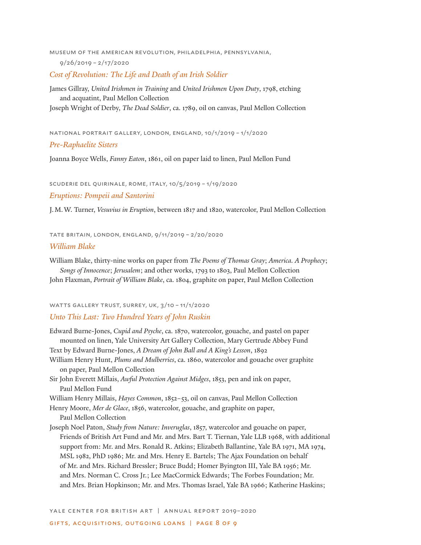museum of the american revolution, philadelphia, pennsylvania, 9/26/2019 – 2/17/2020

*Cost of Revolution: The Life and Death of an Irish Soldier*

James Gillray, *United Irishmen in Training* and *United Irishmen Upon Duty*, 1798, etching and acquatint, Paul Mellon Collection

Joseph Wright of Derby, *The Dead Soldier*, ca. 1789, oil on canvas, Paul Mellon Collection

national portrait gallery, london, england, 10/1/2019 – 1/1/2020

#### *Pre-Raphaelite Sisters*

Joanna Boyce Wells, *Fanny Eaton*, 1861, oil on paper laid to linen, Paul Mellon Fund

scuderie del quirinale, rome, italy, 10/5/2019 – 1/19/2020

#### *Eruptions: Pompeii and Santorini*

J.M.W. Turner, *Vesuvius in Eruption*, between 1817 and 1820, watercolor, Paul Mellon Collection

tate britain, london, england, 9/11/2019 – 2/20/2020

#### *William Blake*

William Blake, thirty-nine works on paper from *The Poems of Thomas Gray*; *America. A Prophecy*; *Songs of Innocence*; *Jerusalem*; and other works, 1793 to 1803, Paul Mellon Collection

John Flaxman, *Portrait of William Blake*, ca. 1804, graphite on paper, Paul Mellon Collection

#### watts gallery trust, surrey, uk, 3/10 – 11/1/2020

### *Unto This Last: Two Hundred Years of John Ruskin*

Edward Burne-Jones, *Cupid and Psyche*, ca. 1870, watercolor, gouache, and pastel on paper mounted on linen, Yale University Art Gallery Collection, Mary Gertrude Abbey Fund

Text by Edward Burne-Jones, *A Dream of John Ball and A King's Lesson*, 1892

- William Henry Hunt, *Plums and Mulberries*, ca. 1860, watercolor and gouache over graphite on paper, Paul Mellon Collection
- Sir John Everett Millais, *Awful Protection Against Midges*, 1853, pen and ink on paper, Paul Mellon Fund

William Henry Millais, *Hayes Common*, 1852–53, oil on canvas, Paul Mellon Collection

Henry Moore, *Mer de Glace*, 1856, watercolor, gouache, and graphite on paper, Paul Mellon Collection

Joseph Noel Paton, *Study from Nature: Inveruglas*, 1857, watercolor and gouache on paper, Friends of British Art Fund and Mr. and Mrs. Bart T. Tiernan, Yale LLB 1968, with additional support from: Mr. and Mrs. Ronald R. Atkins; Elizabeth Ballantine, Yale BA 1971, MA 1974, MSL 1982, PhD 1986; Mr. and Mrs. Henry E. Bartels; The Ajax Foundation on behalf of Mr. and Mrs. Richard Bressler; Bruce Budd; Homer Byington III, Yale BA 1956; Mr. and Mrs. Norman C. Cross Jr.; Lee MacCormick Edwards; The Forbes Foundation; Mr. and Mrs. Brian Hopkinson; Mr. and Mrs. Thomas Israel, Yale BA 1966; Katherine Haskins;